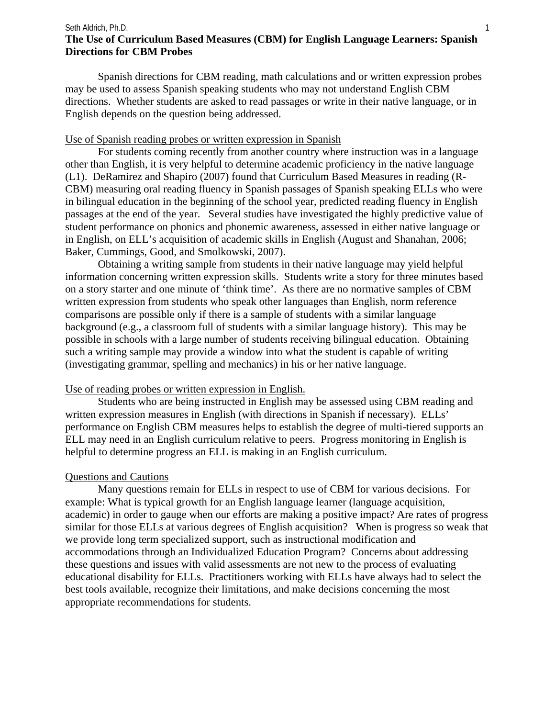#### **The Use of Curriculum Based Measures (CBM) for English Language Learners: Spanish Directions for CBM Probes**  Seth Aldrich, Ph.D. 1

Spanish directions for CBM reading, math calculations and or written expression probes may be used to assess Spanish speaking students who may not understand English CBM directions. Whether students are asked to read passages or write in their native language, or in English depends on the question being addressed.

#### Use of Spanish reading probes or written expression in Spanish

For students coming recently from another country where instruction was in a language other than English, it is very helpful to determine academic proficiency in the native language (L1). DeRamirez and Shapiro (2007) found that Curriculum Based Measures in reading (R-CBM) measuring oral reading fluency in Spanish passages of Spanish speaking ELLs who were in bilingual education in the beginning of the school year, predicted reading fluency in English passages at the end of the year. Several studies have investigated the highly predictive value of student performance on phonics and phonemic awareness, assessed in either native language or in English, on ELL's acquisition of academic skills in English (August and Shanahan, 2006; Baker, Cummings, Good, and Smolkowski, 2007).

Obtaining a writing sample from students in their native language may yield helpful information concerning written expression skills. Students write a story for three minutes based on a story starter and one minute of 'think time'. As there are no normative samples of CBM written expression from students who speak other languages than English, norm reference comparisons are possible only if there is a sample of students with a similar language background (e.g., a classroom full of students with a similar language history). This may be possible in schools with a large number of students receiving bilingual education. Obtaining such a writing sample may provide a window into what the student is capable of writing (investigating grammar, spelling and mechanics) in his or her native language.

## Use of reading probes or written expression in English.

 Students who are being instructed in English may be assessed using CBM reading and written expression measures in English (with directions in Spanish if necessary). ELLs' performance on English CBM measures helps to establish the degree of multi-tiered supports an ELL may need in an English curriculum relative to peers. Progress monitoring in English is helpful to determine progress an ELL is making in an English curriculum.

## Questions and Cautions

Many questions remain for ELLs in respect to use of CBM for various decisions. For example: What is typical growth for an English language learner (language acquisition, academic) in order to gauge when our efforts are making a positive impact? Are rates of progress similar for those ELLs at various degrees of English acquisition? When is progress so weak that we provide long term specialized support, such as instructional modification and accommodations through an Individualized Education Program? Concerns about addressing these questions and issues with valid assessments are not new to the process of evaluating educational disability for ELLs. Practitioners working with ELLs have always had to select the best tools available, recognize their limitations, and make decisions concerning the most appropriate recommendations for students.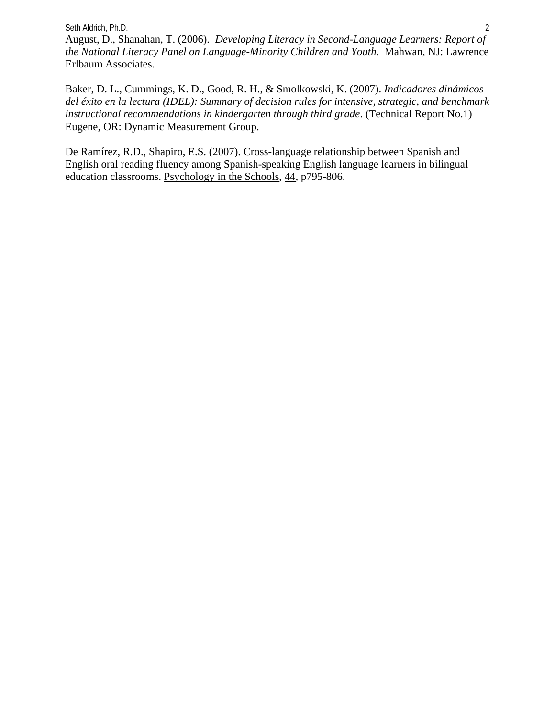Seth Aldrich, Ph.D. 2

August, D., Shanahan, T. (2006). *Developing Literacy in Second-Language Learners: Report of the National Literacy Panel on Language-Minority Children and Youth.* Mahwan, NJ: Lawrence Erlbaum Associates.

Baker, D. L., Cummings, K. D., Good, R. H., & Smolkowski, K. (2007). *Indicadores dinámicos del éxito en la lectura (IDEL): Summary of decision rules for intensive, strategic, and benchmark instructional recommendations in kindergarten through third grade*. (Technical Report No.1) Eugene, OR: Dynamic Measurement Group.

De Ramírez, R.D., Shapiro, E.S. (2007). Cross-language relationship between Spanish and English oral reading fluency among Spanish-speaking English language learners in bilingual education classrooms. Psychology in the Schools, 44, p795-806.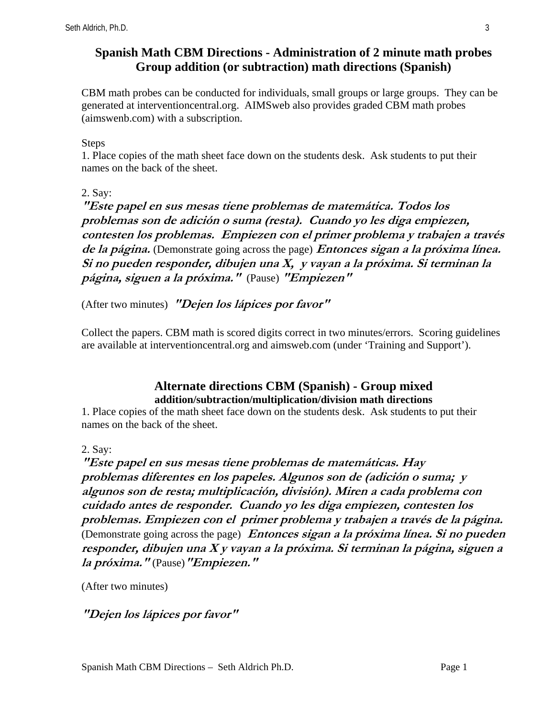# **Spanish Math CBM Directions - Administration of 2 minute math probes Group addition (or subtraction) math directions (Spanish)**

CBM math probes can be conducted for individuals, small groups or large groups. They can be generated at interventioncentral.org. AIMSweb also provides graded CBM math probes (aimswenb.com) with a subscription.

## Steps

1. Place copies of the math sheet face down on the students desk. Ask students to put their names on the back of the sheet.

2. Say:

**"Este papel en sus mesas tiene problemas de matemática. Todos los problemas son de adición o suma (resta). Cuando yo les diga empiezen, contesten los problemas. Empiezen con el primer problema y trabajen a través de la página.** (Demonstrate going across the page) **Entonces sigan a la próxima línea. Si no pueden responder, dibujen una X, y vayan a la próxima. Si terminan la página, siguen a la próxima."** (Pause) **"Empiezen"** 

(After two minutes) **"Dejen los lápices por favor"**

Collect the papers. CBM math is scored digits correct in two minutes/errors. Scoring guidelines are available at interventioncentral.org and aimsweb.com (under 'Training and Support').

## **Alternate directions CBM (Spanish) - Group mixed addition/subtraction/multiplication/division math directions**

1. Place copies of the math sheet face down on the students desk. Ask students to put their names on the back of the sheet.

2. Say:

**"Este papel en sus mesas tiene problemas de matemáticas. Hay problemas diferentes en los papeles. Algunos son de (adición o suma; y algunos son de resta; multiplicación, división). Miren a cada problema con cuidado antes de responder. Cuando yo les diga empiezen, contesten los problemas. Empiezen con el primer problema y trabajen a través de la página.**  (Demonstrate going across the page) **Entonces sigan a la próxima línea. Si no pueden responder, dibujen una X y vayan a la próxima. Si terminan la página, siguen a la próxima."** (Pause)**"Empiezen."** 

(After two minutes)

**"Dejen los lápices por favor"**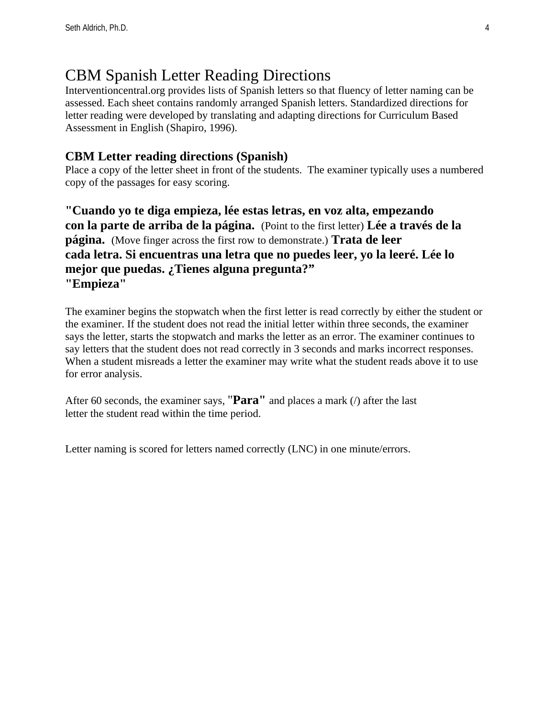# CBM Spanish Letter Reading Directions

Interventioncentral.org provides lists of Spanish letters so that fluency of letter naming can be assessed. Each sheet contains randomly arranged Spanish letters. Standardized directions for letter reading were developed by translating and adapting directions for Curriculum Based Assessment in English (Shapiro, 1996).

## **CBM Letter reading directions (Spanish)**

Place a copy of the letter sheet in front of the students. The examiner typically uses a numbered copy of the passages for easy scoring.

**"Cuando yo te diga empieza, lée estas letras, en voz alta, empezando con la parte de arriba de la página.** (Point to the first letter) **Lée a través de la página.** (Move finger across the first row to demonstrate.) **Trata de leer cada letra. Si encuentras una letra que no puedes leer, yo la leeré. Lée lo mejor que puedas. ¿Tienes alguna pregunta?" "Empieza"** 

The examiner begins the stopwatch when the first letter is read correctly by either the student or the examiner. If the student does not read the initial letter within three seconds, the examiner says the letter, starts the stopwatch and marks the letter as an error. The examiner continues to say letters that the student does not read correctly in 3 seconds and marks incorrect responses. When a student misreads a letter the examiner may write what the student reads above it to use for error analysis.

After 60 seconds, the examiner says, "**Para"** and places a mark (/) after the last letter the student read within the time period.

Letter naming is scored for letters named correctly (LNC) in one minute/errors.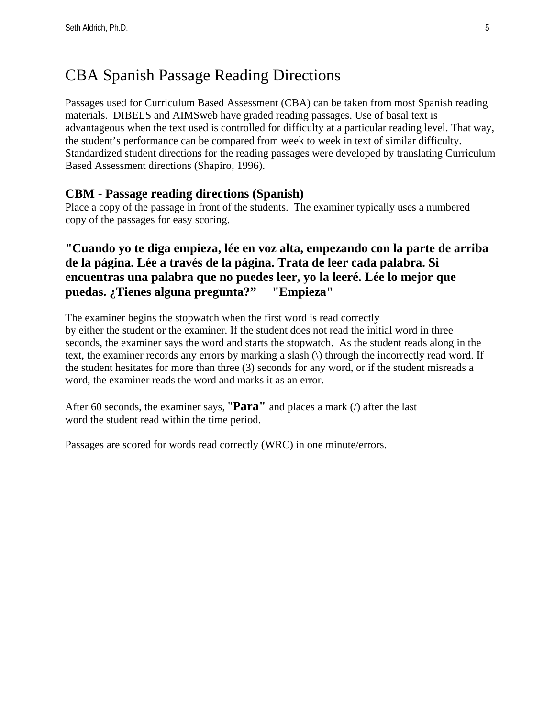# CBA Spanish Passage Reading Directions

Passages used for Curriculum Based Assessment (CBA) can be taken from most Spanish reading materials. DIBELS and AIMSweb have graded reading passages. Use of basal text is advantageous when the text used is controlled for difficulty at a particular reading level. That way, the student's performance can be compared from week to week in text of similar difficulty. Standardized student directions for the reading passages were developed by translating Curriculum Based Assessment directions (Shapiro, 1996).

## **CBM - Passage reading directions (Spanish)**

Place a copy of the passage in front of the students. The examiner typically uses a numbered copy of the passages for easy scoring.

# **"Cuando yo te diga empieza, lée en voz alta, empezando con la parte de arriba de la página. Lée a través de la página. Trata de leer cada palabra. Si encuentras una palabra que no puedes leer, yo la leeré. Lée lo mejor que puedas. ¿Tienes alguna pregunta?" "Empieza"**

The examiner begins the stopwatch when the first word is read correctly

by either the student or the examiner. If the student does not read the initial word in three seconds, the examiner says the word and starts the stopwatch. As the student reads along in the text, the examiner records any errors by marking a slash (\) through the incorrectly read word. If the student hesitates for more than three (3) seconds for any word, or if the student misreads a word, the examiner reads the word and marks it as an error.

After 60 seconds, the examiner says, "**Para"** and places a mark (/) after the last word the student read within the time period.

Passages are scored for words read correctly (WRC) in one minute/errors.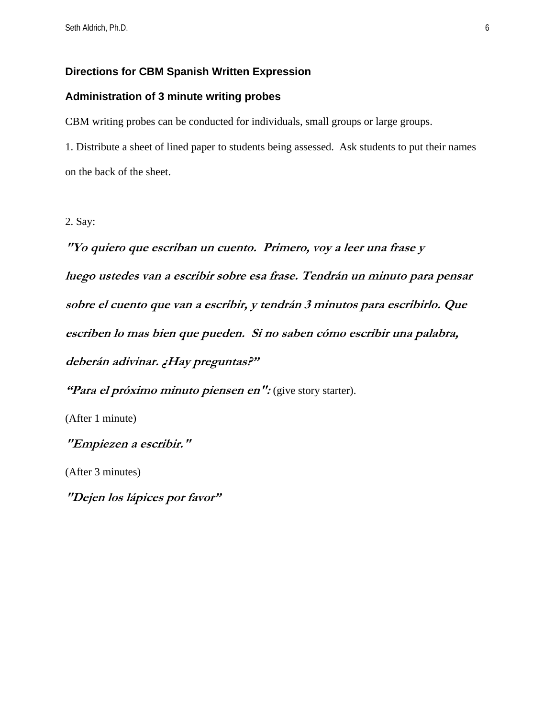## **Directions for CBM Spanish Written Expression**

### **Administration of 3 minute writing probes**

CBM writing probes can be conducted for individuals, small groups or large groups.

1. Distribute a sheet of lined paper to students being assessed. Ask students to put their names on the back of the sheet.

2. Say:

**"Yo quiero que escriban un cuento. Primero, voy a leer una frase y luego ustedes van a escribir sobre esa frase. Tendrán un minuto para pensar sobre el cuento que van a escribir, y tendrán 3 minutos para escribirlo. Que escriben lo mas bien que pueden. Si no saben cómo escribir una palabra, deberán adivinar. ¿Hay preguntas?"** 

"Para el próximo minuto piensen en": (give story starter).

(After 1 minute)

**"Empiezen a escribir."** 

(After 3 minutes)

**"Dejen los lápices por favor"**